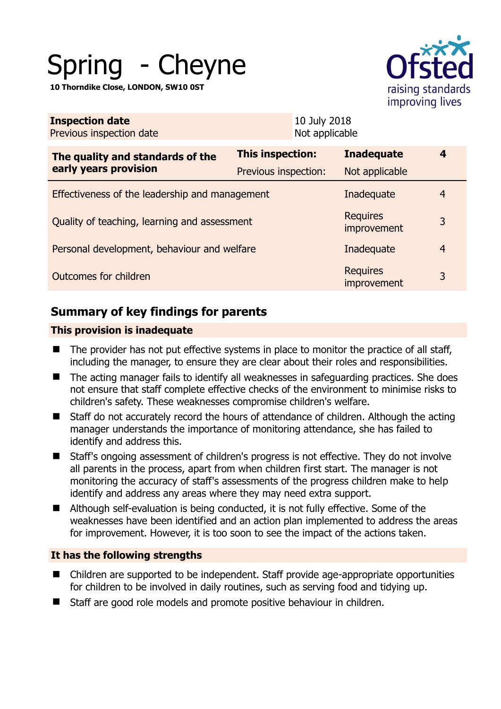# Spring - Cheyne

**10 Thorndike Close, LONDON, SW10 0ST** 



| <b>Inspection date</b><br>Previous inspection date        | 10 July 2018<br>Not applicable |                                |                |
|-----------------------------------------------------------|--------------------------------|--------------------------------|----------------|
| The quality and standards of the<br>early years provision | <b>This inspection:</b>        | <b>Inadequate</b>              | 4              |
|                                                           | Previous inspection:           | Not applicable                 |                |
| Effectiveness of the leadership and management            |                                | Inadequate                     | $\overline{4}$ |
| Quality of teaching, learning and assessment              |                                | <b>Requires</b><br>improvement | 3              |
| Personal development, behaviour and welfare               |                                | Inadequate                     | $\overline{4}$ |
| Outcomes for children                                     |                                | <b>Requires</b><br>improvement | 3              |
|                                                           |                                |                                |                |

# **Summary of key findings for parents**

# **This provision is inadequate**

- The provider has not put effective systems in place to monitor the practice of all staff, including the manager, to ensure they are clear about their roles and responsibilities.
- The acting manager fails to identify all weaknesses in safeguarding practices. She does not ensure that staff complete effective checks of the environment to minimise risks to children's safety. These weaknesses compromise children's welfare.
- Staff do not accurately record the hours of attendance of children. Although the acting manager understands the importance of monitoring attendance, she has failed to identify and address this.
- Staff's ongoing assessment of children's progress is not effective. They do not involve all parents in the process, apart from when children first start. The manager is not monitoring the accuracy of staff's assessments of the progress children make to help identify and address any areas where they may need extra support.
- Although self-evaluation is being conducted, it is not fully effective. Some of the weaknesses have been identified and an action plan implemented to address the areas for improvement. However, it is too soon to see the impact of the actions taken.

# **It has the following strengths**

- Children are supported to be independent. Staff provide age-appropriate opportunities for children to be involved in daily routines, such as serving food and tidying up.
- Staff are good role models and promote positive behaviour in children.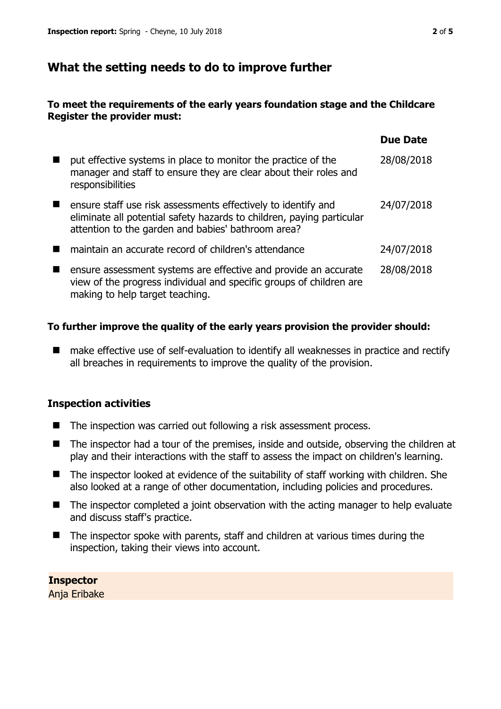# **What the setting needs to do to improve further**

## **To meet the requirements of the early years foundation stage and the Childcare Register the provider must:**

|                                                                                                                                                                                              | <b>Due Date</b> |
|----------------------------------------------------------------------------------------------------------------------------------------------------------------------------------------------|-----------------|
| put effective systems in place to monitor the practice of the<br>manager and staff to ensure they are clear about their roles and<br>responsibilities                                        | 28/08/2018      |
| ensure staff use risk assessments effectively to identify and<br>eliminate all potential safety hazards to children, paying particular<br>attention to the garden and babies' bathroom area? | 24/07/2018      |
| maintain an accurate record of children's attendance                                                                                                                                         | 24/07/2018      |
| ensure assessment systems are effective and provide an accurate<br>view of the progress individual and specific groups of children are<br>making to help target teaching.                    | 28/08/2018      |

## **To further improve the quality of the early years provision the provider should:**

■ make effective use of self-evaluation to identify all weaknesses in practice and rectify all breaches in requirements to improve the quality of the provision.

#### **Inspection activities**

- The inspection was carried out following a risk assessment process.
- The inspector had a tour of the premises, inside and outside, observing the children at play and their interactions with the staff to assess the impact on children's learning.
- The inspector looked at evidence of the suitability of staff working with children. She also looked at a range of other documentation, including policies and procedures.
- The inspector completed a joint observation with the acting manager to help evaluate and discuss staff's practice.
- The inspector spoke with parents, staff and children at various times during the inspection, taking their views into account.

**Inspector**  Anja Eribake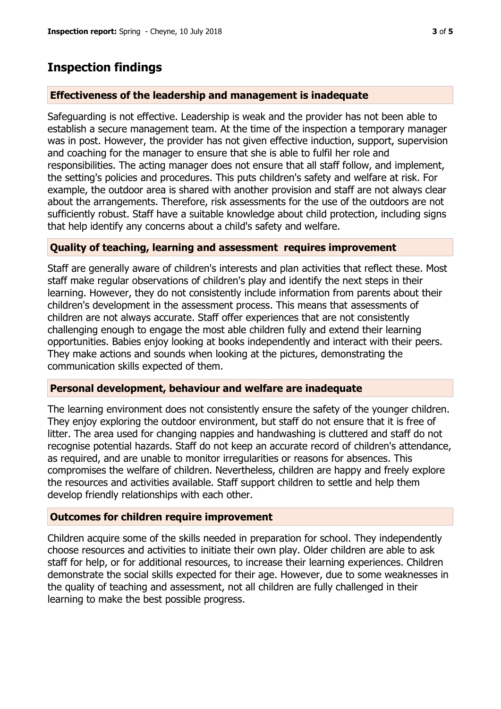# **Inspection findings**

## **Effectiveness of the leadership and management is inadequate**

Safeguarding is not effective. Leadership is weak and the provider has not been able to establish a secure management team. At the time of the inspection a temporary manager was in post. However, the provider has not given effective induction, support, supervision and coaching for the manager to ensure that she is able to fulfil her role and responsibilities. The acting manager does not ensure that all staff follow, and implement, the setting's policies and procedures. This puts children's safety and welfare at risk. For example, the outdoor area is shared with another provision and staff are not always clear about the arrangements. Therefore, risk assessments for the use of the outdoors are not sufficiently robust. Staff have a suitable knowledge about child protection, including signs that help identify any concerns about a child's safety and welfare.

## **Quality of teaching, learning and assessment requires improvement**

Staff are generally aware of children's interests and plan activities that reflect these. Most staff make regular observations of children's play and identify the next steps in their learning. However, they do not consistently include information from parents about their children's development in the assessment process. This means that assessments of children are not always accurate. Staff offer experiences that are not consistently challenging enough to engage the most able children fully and extend their learning opportunities. Babies enjoy looking at books independently and interact with their peers. They make actions and sounds when looking at the pictures, demonstrating the communication skills expected of them.

## **Personal development, behaviour and welfare are inadequate**

The learning environment does not consistently ensure the safety of the younger children. They enjoy exploring the outdoor environment, but staff do not ensure that it is free of litter. The area used for changing nappies and handwashing is cluttered and staff do not recognise potential hazards. Staff do not keep an accurate record of children's attendance, as required, and are unable to monitor irregularities or reasons for absences. This compromises the welfare of children. Nevertheless, children are happy and freely explore the resources and activities available. Staff support children to settle and help them develop friendly relationships with each other.

## **Outcomes for children require improvement**

Children acquire some of the skills needed in preparation for school. They independently choose resources and activities to initiate their own play. Older children are able to ask staff for help, or for additional resources, to increase their learning experiences. Children demonstrate the social skills expected for their age. However, due to some weaknesses in the quality of teaching and assessment, not all children are fully challenged in their learning to make the best possible progress.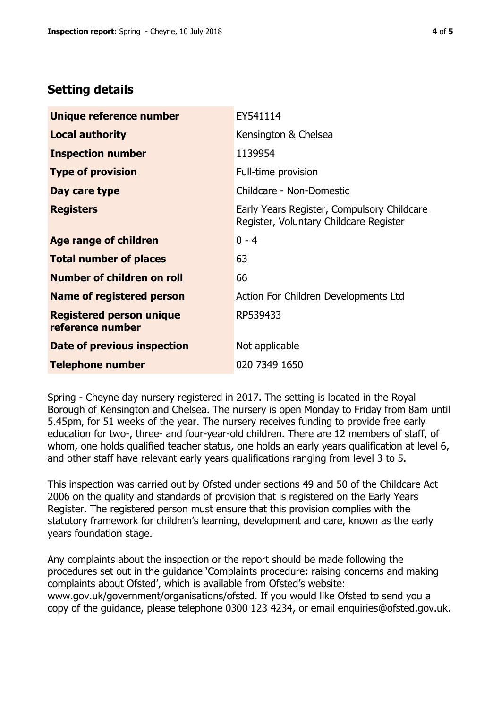# **Setting details**

| Unique reference number                             | EY541114                                                                             |
|-----------------------------------------------------|--------------------------------------------------------------------------------------|
| <b>Local authority</b>                              | Kensington & Chelsea                                                                 |
| <b>Inspection number</b>                            | 1139954                                                                              |
| <b>Type of provision</b>                            | Full-time provision                                                                  |
| Day care type                                       | Childcare - Non-Domestic                                                             |
| <b>Registers</b>                                    | Early Years Register, Compulsory Childcare<br>Register, Voluntary Childcare Register |
| Age range of children                               | $0 - 4$                                                                              |
| <b>Total number of places</b>                       | 63                                                                                   |
| Number of children on roll                          | 66                                                                                   |
| Name of registered person                           | Action For Children Developments Ltd                                                 |
| <b>Registered person unique</b><br>reference number | RP539433                                                                             |
| <b>Date of previous inspection</b>                  | Not applicable                                                                       |
| <b>Telephone number</b>                             | 020 7349 1650                                                                        |

Spring - Cheyne day nursery registered in 2017. The setting is located in the Royal Borough of Kensington and Chelsea. The nursery is open Monday to Friday from 8am until 5.45pm, for 51 weeks of the year. The nursery receives funding to provide free early education for two-, three- and four-year-old children. There are 12 members of staff, of whom, one holds qualified teacher status, one holds an early years qualification at level 6, and other staff have relevant early years qualifications ranging from level 3 to 5.

This inspection was carried out by Ofsted under sections 49 and 50 of the Childcare Act 2006 on the quality and standards of provision that is registered on the Early Years Register. The registered person must ensure that this provision complies with the statutory framework for children's learning, development and care, known as the early years foundation stage.

Any complaints about the inspection or the report should be made following the procedures set out in the guidance 'Complaints procedure: raising concerns and making complaints about Ofsted', which is available from Ofsted's website: www.gov.uk/government/organisations/ofsted. If you would like Ofsted to send you a copy of the guidance, please telephone 0300 123 4234, or email enquiries@ofsted.gov.uk.